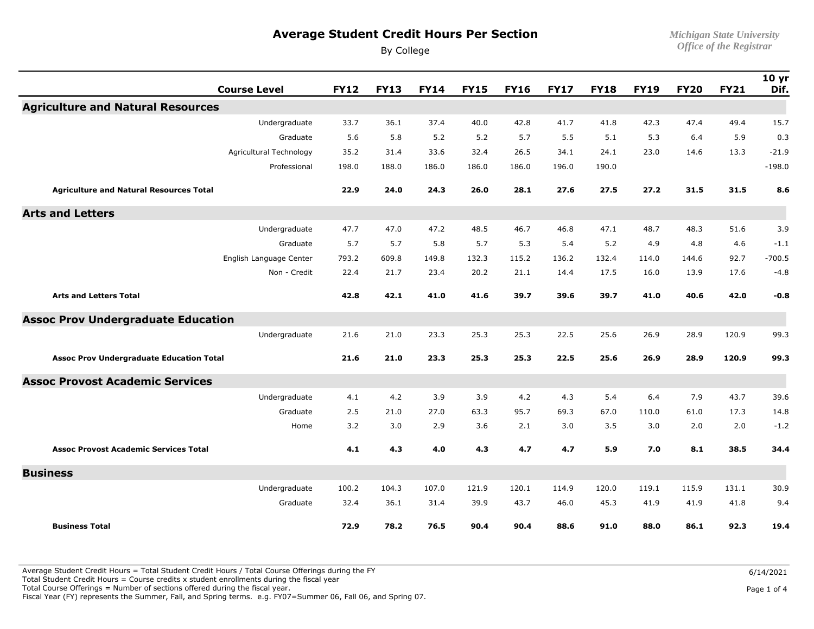## **Average Student Credit Hours Per Section** *Michigan State University*

By College *Office of the Registrar* 

| <b>Course Level</b>                             | <b>FY12</b> | <b>FY13</b> | <b>FY14</b> | <b>FY15</b> | <b>FY16</b> | <b>FY17</b> | <b>FY18</b> | <b>FY19</b> | <b>FY20</b> | <b>FY21</b> | 10 <sub>yr</sub><br>Dif. |
|-------------------------------------------------|-------------|-------------|-------------|-------------|-------------|-------------|-------------|-------------|-------------|-------------|--------------------------|
| <b>Agriculture and Natural Resources</b>        |             |             |             |             |             |             |             |             |             |             |                          |
| Undergraduate                                   | 33.7        | 36.1        | 37.4        | 40.0        | 42.8        | 41.7        | 41.8        | 42.3        | 47.4        | 49.4        | 15.7                     |
| Graduate                                        | 5.6         | 5.8         | 5.2         | 5.2         | 5.7         | 5.5         | 5.1         | 5.3         | 6.4         | 5.9         | 0.3                      |
| Agricultural Technology                         | 35.2        | 31.4        | 33.6        | 32.4        | 26.5        | 34.1        | 24.1        | 23.0        | 14.6        | 13.3        | $-21.9$                  |
| Professional                                    | 198.0       | 188.0       | 186.0       | 186.0       | 186.0       | 196.0       | 190.0       |             |             |             | $-198.0$                 |
| <b>Agriculture and Natural Resources Total</b>  | 22.9        | 24.0        | 24.3        | 26.0        | 28.1        | 27.6        | 27.5        | 27.2        | 31.5        | 31.5        | 8.6                      |
| <b>Arts and Letters</b>                         |             |             |             |             |             |             |             |             |             |             |                          |
| Undergraduate                                   | 47.7        | 47.0        | 47.2        | 48.5        | 46.7        | 46.8        | 47.1        | 48.7        | 48.3        | 51.6        | 3.9                      |
| Graduate                                        | 5.7         | 5.7         | 5.8         | 5.7         | 5.3         | 5.4         | 5.2         | 4.9         | 4.8         | 4.6         | $-1.1$                   |
| English Language Center                         | 793.2       | 609.8       | 149.8       | 132.3       | 115.2       | 136.2       | 132.4       | 114.0       | 144.6       | 92.7        | $-700.5$                 |
| Non - Credit                                    | 22.4        | 21.7        | 23.4        | 20.2        | 21.1        | 14.4        | 17.5        | 16.0        | 13.9        | 17.6        | $-4.8$                   |
| <b>Arts and Letters Total</b>                   | 42.8        | 42.1        | 41.0        | 41.6        | 39.7        | 39.6        | 39.7        | 41.0        | 40.6        | 42.0        | $-0.8$                   |
| <b>Assoc Prov Undergraduate Education</b>       |             |             |             |             |             |             |             |             |             |             |                          |
| Undergraduate                                   | 21.6        | 21.0        | 23.3        | 25.3        | 25.3        | 22.5        | 25.6        | 26.9        | 28.9        | 120.9       | 99.3                     |
| <b>Assoc Prov Undergraduate Education Total</b> | 21.6        | 21.0        | 23.3        | 25.3        | 25.3        | 22.5        | 25.6        | 26.9        | 28.9        | 120.9       | 99.3                     |
| <b>Assoc Provost Academic Services</b>          |             |             |             |             |             |             |             |             |             |             |                          |
| Undergraduate                                   | 4.1         | 4.2         | 3.9         | 3.9         | 4.2         | 4.3         | 5.4         | 6.4         | 7.9         | 43.7        | 39.6                     |
| Graduate                                        | 2.5         | 21.0        | 27.0        | 63.3        | 95.7        | 69.3        | 67.0        | 110.0       | 61.0        | 17.3        | 14.8                     |
| Home                                            | 3.2         | 3.0         | 2.9         | 3.6         | 2.1         | 3.0         | 3.5         | 3.0         | 2.0         | 2.0         | $-1.2$                   |
| <b>Assoc Provost Academic Services Total</b>    | 4.1         | 4.3         | 4.0         | 4.3         | 4.7         | 4.7         | 5.9         | 7.0         | 8.1         | 38.5        | 34.4                     |
| <b>Business</b>                                 |             |             |             |             |             |             |             |             |             |             |                          |
| Undergraduate                                   | 100.2       | 104.3       | 107.0       | 121.9       | 120.1       | 114.9       | 120.0       | 119.1       | 115.9       | 131.1       | 30.9                     |
| Graduate                                        | 32.4        | 36.1        | 31.4        | 39.9        | 43.7        | 46.0        | 45.3        | 41.9        | 41.9        | 41.8        | 9.4                      |
| <b>Business Total</b>                           | 72.9        | 78.2        | 76.5        | 90.4        | 90.4        | 88.6        | 91.0        | 88.0        | 86.1        | 92.3        | 19.4                     |

Average Student Credit Hours = Total Student Credit Hours / Total Course Offerings during the FY

Total Student Credit Hours = Course credits  $x$  student enrollments during the fiscal year

Total Course Offerings = Number of sections offered during the fiscal year.

Fiscal Year (FY) represents the Summer, Fall, and Spring terms. e.g. FY07=Summer 06, Fall 06, and Spring 07.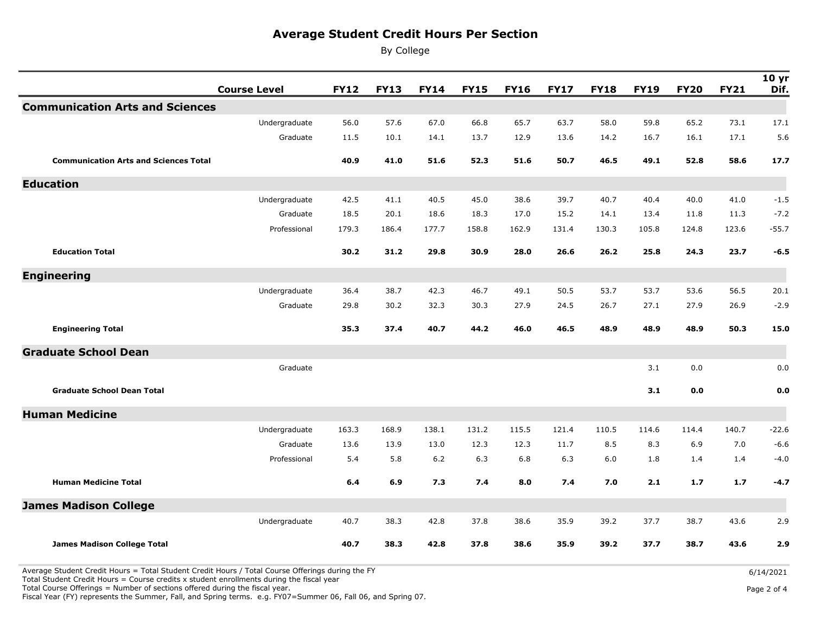## **Average Student Credit Hours Per Section**

By College

|                                              | <b>Course Level</b> | <b>FY12</b> | <b>FY13</b> | <b>FY14</b> | <b>FY15</b> | <b>FY16</b> | <b>FY17</b> | <b>FY18</b> | <b>FY19</b> | <b>FY20</b> | <b>FY21</b> | 10 <sub>yr</sub><br>Dif. |
|----------------------------------------------|---------------------|-------------|-------------|-------------|-------------|-------------|-------------|-------------|-------------|-------------|-------------|--------------------------|
| <b>Communication Arts and Sciences</b>       |                     |             |             |             |             |             |             |             |             |             |             |                          |
|                                              | Undergraduate       | 56.0        | 57.6        | 67.0        | 66.8        | 65.7        | 63.7        | 58.0        | 59.8        | 65.2        | 73.1        | 17.1                     |
|                                              | Graduate            | 11.5        | 10.1        | 14.1        | 13.7        | 12.9        | 13.6        | 14.2        | 16.7        | 16.1        | 17.1        | 5.6                      |
| <b>Communication Arts and Sciences Total</b> |                     | 40.9        | 41.0        | 51.6        | 52.3        | 51.6        | 50.7        | 46.5        | 49.1        | 52.8        | 58.6        | 17.7                     |
| <b>Education</b>                             |                     |             |             |             |             |             |             |             |             |             |             |                          |
|                                              | Undergraduate       | 42.5        | 41.1        | 40.5        | 45.0        | 38.6        | 39.7        | 40.7        | 40.4        | 40.0        | 41.0        | $-1.5$                   |
|                                              | Graduate            | 18.5        | 20.1        | 18.6        | 18.3        | 17.0        | 15.2        | 14.1        | 13.4        | 11.8        | 11.3        | $-7.2$                   |
|                                              | Professional        | 179.3       | 186.4       | 177.7       | 158.8       | 162.9       | 131.4       | 130.3       | 105.8       | 124.8       | 123.6       | $-55.7$                  |
| <b>Education Total</b>                       |                     | 30.2        | 31.2        | 29.8        | 30.9        | 28.0        | 26.6        | 26.2        | 25.8        | 24.3        | 23.7        | $-6.5$                   |
| <b>Engineering</b>                           |                     |             |             |             |             |             |             |             |             |             |             |                          |
|                                              | Undergraduate       | 36.4        | 38.7        | 42.3        | 46.7        | 49.1        | 50.5        | 53.7        | 53.7        | 53.6        | 56.5        | 20.1                     |
|                                              | Graduate            | 29.8        | 30.2        | 32.3        | 30.3        | 27.9        | 24.5        | 26.7        | 27.1        | 27.9        | 26.9        | $-2.9$                   |
| <b>Engineering Total</b>                     |                     | 35.3        | 37.4        | 40.7        | 44.2        | 46.0        | 46.5        | 48.9        | 48.9        | 48.9        | 50.3        | 15.0                     |
| <b>Graduate School Dean</b>                  |                     |             |             |             |             |             |             |             |             |             |             |                          |
|                                              | Graduate            |             |             |             |             |             |             |             | 3.1         | 0.0         |             | 0.0                      |
| <b>Graduate School Dean Total</b>            |                     |             |             |             |             |             |             |             | 3.1         | 0.0         |             | 0.0                      |
| <b>Human Medicine</b>                        |                     |             |             |             |             |             |             |             |             |             |             |                          |
|                                              | Undergraduate       | 163.3       | 168.9       | 138.1       | 131.2       | 115.5       | 121.4       | 110.5       | 114.6       | 114.4       | 140.7       | $-22.6$                  |
|                                              | Graduate            | 13.6        | 13.9        | 13.0        | 12.3        | 12.3        | 11.7        | 8.5         | 8.3         | 6.9         | 7.0         | $-6.6$                   |
|                                              | Professional        | 5.4         | 5.8         | $6.2$       | 6.3         | 6.8         | 6.3         | 6.0         | 1.8         | 1.4         | 1.4         | $-4.0$                   |
| <b>Human Medicine Total</b>                  |                     | 6.4         | 6.9         | 7.3         | 7.4         | 8.0         | 7.4         | 7.0         | 2.1         | 1.7         | 1.7         | $-4.7$                   |
| <b>James Madison College</b>                 |                     |             |             |             |             |             |             |             |             |             |             |                          |
|                                              | Undergraduate       | 40.7        | 38.3        | 42.8        | 37.8        | 38.6        | 35.9        | 39.2        | 37.7        | 38.7        | 43.6        | 2.9                      |
| James Madison College Total                  |                     | 40.7        | 38.3        | 42.8        | 37.8        | 38.6        | 35.9        | 39.2        | 37.7        | 38.7        | 43.6        | 2.9                      |

Average Student Credit Hours = Total Student Credit Hours / Total Course Offerings during the FY

Total Student Credit Hours = Course credits  $x$  student enrollments during the fiscal year

Total Course Offerings = Number of sections offered during the fiscal year.

Fiscal Year (FY) represents the Summer, Fall, and Spring terms. e.g. FY07=Summer 06, Fall 06, and Spring 07.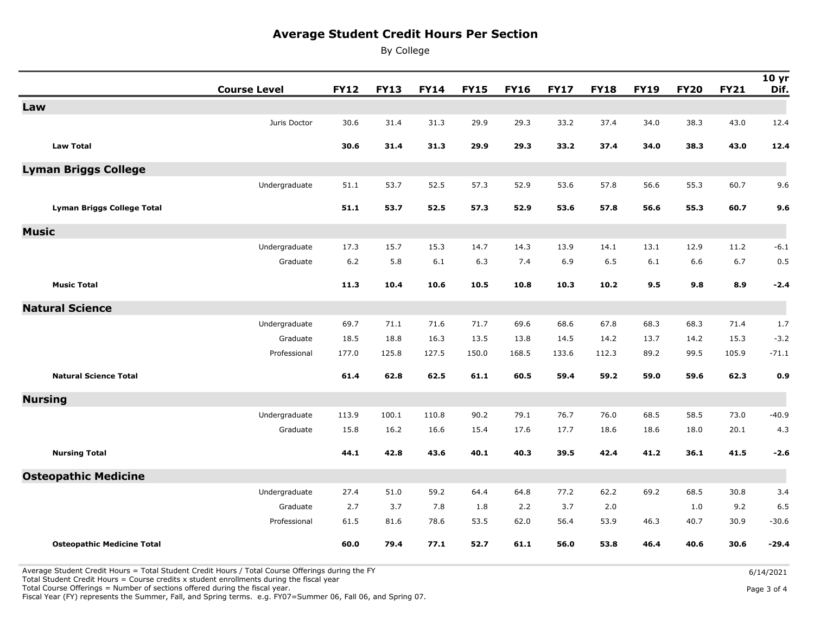## **Average Student Credit Hours Per Section**

By College

|                                   | <b>Course Level</b> | <b>FY12</b> | <b>FY13</b> | <b>FY14</b> | <b>FY15</b> | <b>FY16</b> | <b>FY17</b> | <b>FY18</b> | <b>FY19</b> | <b>FY20</b> | <b>FY21</b> | 10 <sub>yr</sub><br>Dif. |
|-----------------------------------|---------------------|-------------|-------------|-------------|-------------|-------------|-------------|-------------|-------------|-------------|-------------|--------------------------|
| Law                               |                     |             |             |             |             |             |             |             |             |             |             |                          |
|                                   | Juris Doctor        | 30.6        | 31.4        | 31.3        | 29.9        | 29.3        | 33.2        | 37.4        | 34.0        | 38.3        | 43.0        | 12.4                     |
| <b>Law Total</b>                  |                     | 30.6        | 31.4        | 31.3        | 29.9        | 29.3        | 33.2        | 37.4        | 34.0        | 38.3        | 43.0        | 12.4                     |
|                                   |                     |             |             |             |             |             |             |             |             |             |             |                          |
| <b>Lyman Briggs College</b>       |                     |             |             |             |             |             |             |             |             |             |             |                          |
|                                   | Undergraduate       | 51.1        | 53.7        | 52.5        | 57.3        | 52.9        | 53.6        | 57.8        | 56.6        | 55.3        | 60.7        | 9.6                      |
| <b>Lyman Briggs College Total</b> |                     | 51.1        | 53.7        | 52.5        | 57.3        | 52.9        | 53.6        | 57.8        | 56.6        | 55.3        | 60.7        | 9.6                      |
|                                   |                     |             |             |             |             |             |             |             |             |             |             |                          |
| <b>Music</b>                      |                     |             |             |             |             |             |             |             |             |             |             |                          |
|                                   | Undergraduate       | 17.3        | 15.7        | 15.3        | 14.7        | 14.3        | 13.9        | 14.1        | 13.1        | 12.9        | 11.2        | $-6.1$                   |
|                                   | Graduate            | 6.2         | 5.8         | 6.1         | 6.3         | 7.4         | 6.9         | 6.5         | 6.1         | 6.6         | 6.7         | 0.5                      |
| <b>Music Total</b>                |                     | 11.3        | 10.4        | 10.6        | 10.5        | 10.8        | 10.3        | 10.2        | 9.5         | 9.8         | 8.9         | $-2.4$                   |
| <b>Natural Science</b>            |                     |             |             |             |             |             |             |             |             |             |             |                          |
|                                   | Undergraduate       | 69.7        | 71.1        | 71.6        | 71.7        | 69.6        | 68.6        | 67.8        | 68.3        | 68.3        | 71.4        | 1.7                      |
|                                   | Graduate            | 18.5        | 18.8        | 16.3        | 13.5        | 13.8        | 14.5        | 14.2        | 13.7        | 14.2        | 15.3        | $-3.2$                   |
|                                   | Professional        | 177.0       | 125.8       | 127.5       | 150.0       | 168.5       | 133.6       | 112.3       | 89.2        | 99.5        | 105.9       | $-71.1$                  |
| <b>Natural Science Total</b>      |                     | 61.4        | 62.8        | 62.5        | 61.1        | 60.5        | 59.4        | 59.2        | 59.0        | 59.6        | 62.3        | 0.9                      |
| <b>Nursing</b>                    |                     |             |             |             |             |             |             |             |             |             |             |                          |
|                                   | Undergraduate       | 113.9       | 100.1       | 110.8       | 90.2        | 79.1        | 76.7        | 76.0        | 68.5        | 58.5        | 73.0        | $-40.9$                  |
|                                   | Graduate            | 15.8        | 16.2        | 16.6        | 15.4        | 17.6        | 17.7        | 18.6        | 18.6        | 18.0        | 20.1        | 4.3                      |
| <b>Nursing Total</b>              |                     | 44.1        | 42.8        | 43.6        | 40.1        | 40.3        | 39.5        | 42.4        | 41.2        | 36.1        | 41.5        | $-2.6$                   |
| <b>Osteopathic Medicine</b>       |                     |             |             |             |             |             |             |             |             |             |             |                          |
|                                   | Undergraduate       | 27.4        | 51.0        | 59.2        | 64.4        | 64.8        | 77.2        | 62.2        | 69.2        | 68.5        | 30.8        | 3.4                      |
|                                   | Graduate            | 2.7         | 3.7         | 7.8         | 1.8         | 2.2         | 3.7         | 2.0         |             | 1.0         | 9.2         | 6.5                      |
|                                   | Professional        | 61.5        | 81.6        | 78.6        | 53.5        | 62.0        | 56.4        | 53.9        | 46.3        | 40.7        | 30.9        | $-30.6$                  |
| <b>Osteopathic Medicine Total</b> |                     | 60.0        | 79.4        | 77.1        | 52.7        | 61.1        | 56.0        | 53.8        | 46.4        | 40.6        | 30.6        | $-29.4$                  |

Average Student Credit Hours = Total Student Credit Hours / Total Course Offerings during the FY

Total Student Credit Hours = Course credits  $x$  student enrollments during the fiscal year

Total Course Offerings = Number of sections offered during the fiscal year.

Fiscal Year (FY) represents the Summer, Fall, and Spring terms. e.g. FY07=Summer 06, Fall 06, and Spring 07.